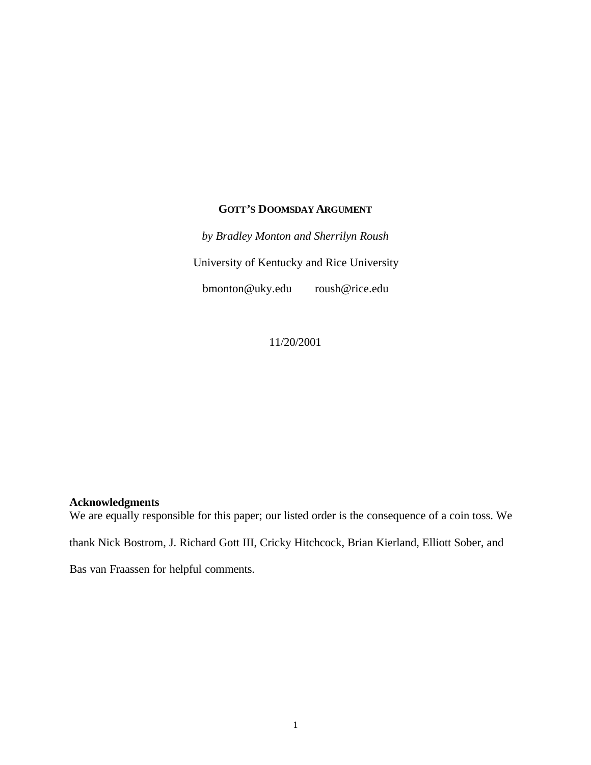# **GOTT'S DOOMSDAY ARGUMENT**

*by Bradley Monton and Sherrilyn Roush* University of Kentucky and Rice University bmonton@uky.edu roush@rice.edu

11/20/2001

## **Acknowledgments**

We are equally responsible for this paper; our listed order is the consequence of a coin toss. We thank Nick Bostrom, J. Richard Gott III, Cricky Hitchcock, Brian Kierland, Elliott Sober, and Bas van Fraassen for helpful comments.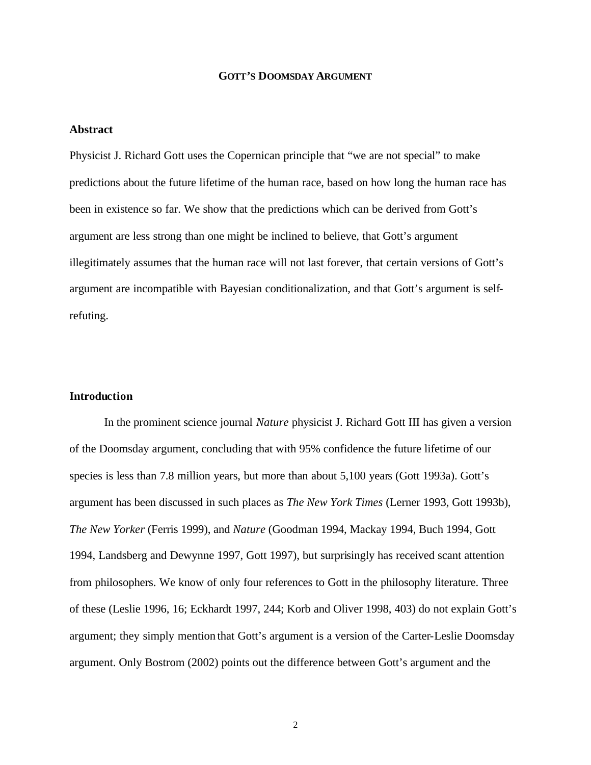#### **GOTT'S DOOMSDAY ARGUMENT**

## **Abstract**

Physicist J. Richard Gott uses the Copernican principle that "we are not special" to make predictions about the future lifetime of the human race, based on how long the human race has been in existence so far. We show that the predictions which can be derived from Gott's argument are less strong than one might be inclined to believe, that Gott's argument illegitimately assumes that the human race will not last forever, that certain versions of Gott's argument are incompatible with Bayesian conditionalization, and that Gott's argument is selfrefuting.

#### **Introduction**

In the prominent science journal *Nature* physicist J. Richard Gott III has given a version of the Doomsday argument, concluding that with 95% confidence the future lifetime of our species is less than 7.8 million years, but more than about 5,100 years (Gott 1993a). Gott's argument has been discussed in such places as *The New York Times* (Lerner 1993, Gott 1993b), *The New Yorker* (Ferris 1999), and *Nature* (Goodman 1994, Mackay 1994, Buch 1994, Gott 1994, Landsberg and Dewynne 1997, Gott 1997), but surprisingly has received scant attention from philosophers. We know of only four references to Gott in the philosophy literature. Three of these (Leslie 1996, 16; Eckhardt 1997, 244; Korb and Oliver 1998, 403) do not explain Gott's argument; they simply mention that Gott's argument is a version of the Carter-Leslie Doomsday argument. Only Bostrom (2002) points out the difference between Gott's argument and the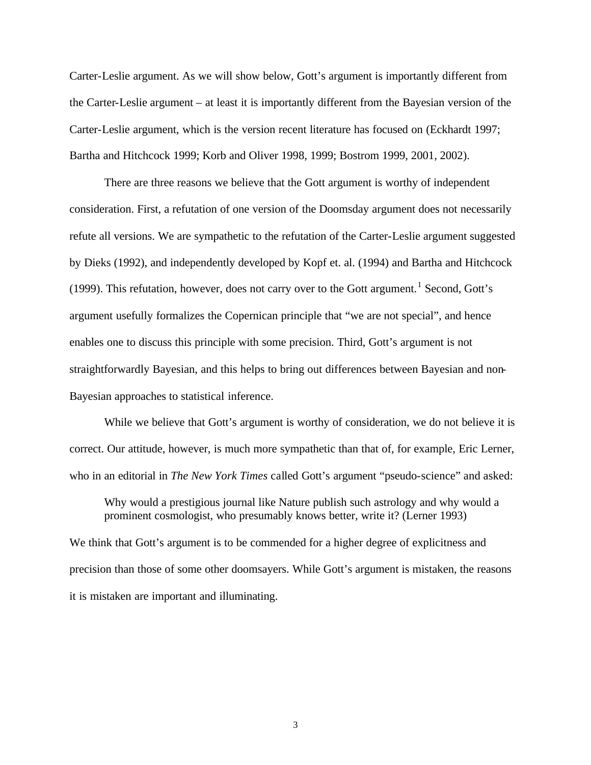Carter-Leslie argument. As we will show below, Gott's argument is importantly different from the Carter-Leslie argument – at least it is importantly different from the Bayesian version of the Carter-Leslie argument, which is the version recent literature has focused on (Eckhardt 1997; Bartha and Hitchcock 1999; Korb and Oliver 1998, 1999; Bostrom 1999, 2001, 2002).

There are three reasons we believe that the Gott argument is worthy of independent consideration. First, a refutation of one version of the Doomsday argument does not necessarily refute all versions. We are sympathetic to the refutation of the Carter-Leslie argument suggested by Dieks (1992), and independently developed by Kopf et. al. (1994) and Bartha and Hitchcock (1999). This refutation, however, does not carry over to the Gott argument.<sup>1</sup> Second, Gott's argument usefully formalizes the Copernican principle that "we are not special", and hence enables one to discuss this principle with some precision. Third, Gott's argument is not straightforwardly Bayesian, and this helps to bring out differences between Bayesian and non-Bayesian approaches to statistical inference.

While we believe that Gott's argument is worthy of consideration, we do not believe it is correct. Our attitude, however, is much more sympathetic than that of, for example, Eric Lerner, who in an editorial in *The New York Times* called Gott's argument "pseudo-science" and asked:

Why would a prestigious journal like Nature publish such astrology and why would a prominent cosmologist, who presumably knows better, write it? (Lerner 1993) We think that Gott's argument is to be commended for a higher degree of explicitness and precision than those of some other doomsayers. While Gott's argument is mistaken, the reasons it is mistaken are important and illuminating.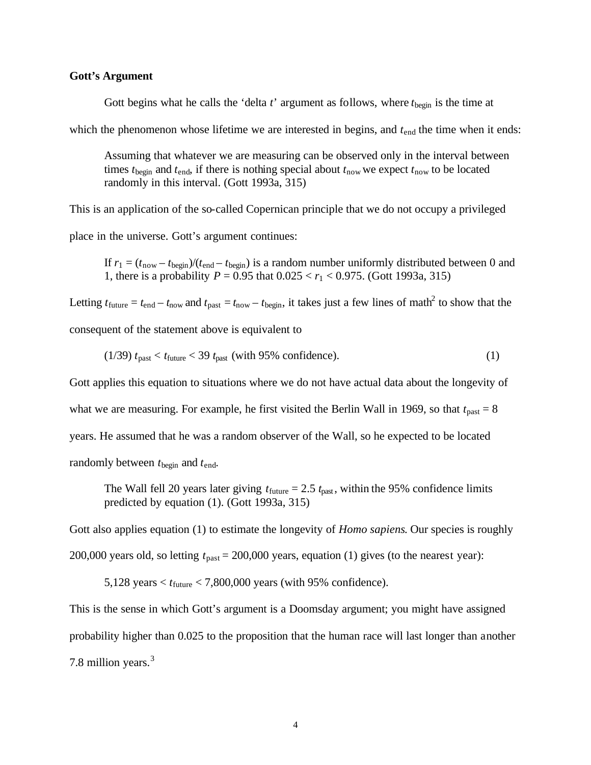#### **Gott's Argument**

Gott begins what he calls the 'delta  $t$ ' argument as follows, where  $t_{\text{begin}}$  is the time at

which the phenomenon whose lifetime we are interested in begins, and  $t_{end}$  the time when it ends:

Assuming that whatever we are measuring can be observed only in the interval between times  $t_{\text{begin}}$  and  $t_{\text{end}}$ , if there is nothing special about  $t_{\text{now}}$  we expect  $t_{\text{now}}$  to be located randomly in this interval. (Gott 1993a, 315)

This is an application of the so-called Copernican principle that we do not occupy a privileged

place in the universe. Gott's argument continues:

If  $r_1 = (t_{\text{now}} - t_{\text{begin}})/(t_{\text{end}} - t_{\text{begin}})$  is a random number uniformly distributed between 0 and 1, there is a probability *P* = 0.95 that  $0.025 < r_1 < 0.975$ . (Gott 1993a, 315)

Letting  $t_{\text{future}} = t_{\text{end}} - t_{\text{now}}$  and  $t_{\text{past}} = t_{\text{now}} - t_{\text{begin}}$ , it takes just a few lines of math<sup>2</sup> to show that the consequent of the statement above is equivalent to

$$
(1/39) tpast < tfuture < 39 tpast (with 95% confidence).
$$
 (1)

Gott applies this equation to situations where we do not have actual data about the longevity of what we are measuring. For example, he first visited the Berlin Wall in 1969, so that  $t_{\text{past}} = 8$ years. He assumed that he was a random observer of the Wall, so he expected to be located randomly between *t*begin and *t*end.

The Wall fell 20 years later giving  $t_{\text{future}} = 2.5 t_{\text{past}}$ , within the 95% confidence limits predicted by equation (1). (Gott 1993a, 315)

Gott also applies equation (1) to estimate the longevity of *Homo sapiens*. Our species is roughly

200,000 years old, so letting *t*past = 200,000 years, equation (1) gives (to the nearest year):

5,128 years  $\lt t_{\text{future}}$   $\lt 7,800,000$  years (with 95% confidence).

This is the sense in which Gott's argument is a Doomsday argument; you might have assigned probability higher than 0.025 to the proposition that the human race will last longer than another 7.8 million years.<sup>3</sup>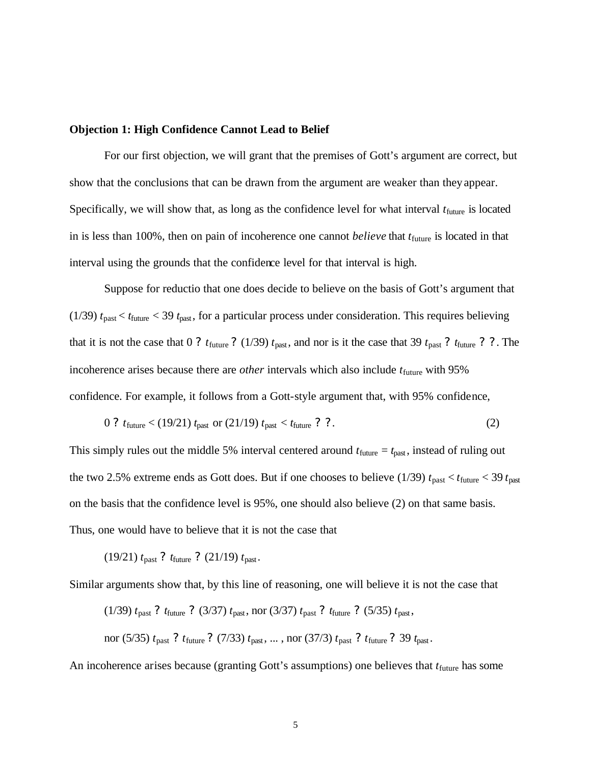### **Objection 1: High Confidence Cannot Lead to Belief**

For our first objection, we will grant that the premises of Gott's argument are correct, but show that the conclusions that can be drawn from the argument are weaker than they appear. Specifically, we will show that, as long as the confidence level for what interval  $t<sub>future</sub>$  is located in is less than 100%, then on pain of incoherence one cannot *believe* that  $t_{\text{future}}$  is located in that interval using the grounds that the confidence level for that interval is high.

Suppose for reductio that one does decide to believe on the basis of Gott's argument that (1/39)  $t_{\text{past}} < t_{\text{future}} < 39 t_{\text{past}}$ , for a particular process under consideration. This requires believing that it is not the case that 0 ?  $t_{\text{future}}$  ? (1/39)  $t_{\text{past}}$ , and nor is it the case that 39  $t_{\text{past}}$  ?  $t_{\text{future}}$  ? ?. The incoherence arises because there are *other* intervals which also include  $t_{\text{future}}$  with 95% confidence. For example, it follows from a Gott-style argument that, with 95% confidence,

$$
0 ? t_{future} < (19/21) t_{past} \text{ or } (21/19) t_{past} < t_{future} ? ?.
$$
 (2)

This simply rules out the middle 5% interval centered around  $t_{\text{future}} = t_{\text{past}}$ , instead of ruling out the two 2.5% extreme ends as Gott does. But if one chooses to believe (1/39)  $t_{\text{past}} < t_{\text{future}} < 39 t_{\text{past}}$ on the basis that the confidence level is 95%, one should also believe (2) on that same basis. Thus, one would have to believe that it is not the case that

(19/21) *t*past ? *t*future ? (21/19) *t*past .

Similar arguments show that, by this line of reasoning, one will believe it is not the case that

(1/39) 
$$
t_{\text{past}}
$$
 ?  $t_{\text{future}}$  ? (3/37)  $t_{\text{past}}$ , nor (3/37)  $t_{\text{past}}$  ?  $t_{\text{future}}$  ? (5/35)  $t_{\text{past}}$ ,  
nor (5/35)  $t_{\text{past}}$  ?  $t_{\text{future}}$  ? (7/33)  $t_{\text{past}}$ , ..., nor (37/3)  $t_{\text{past}}$  ?  $t_{\text{future}}$  ? 39  $t_{\text{past}}$ .

An incoherence arises because (granting Gott's assumptions) one believes that  $t<sub>future</sub>$  has some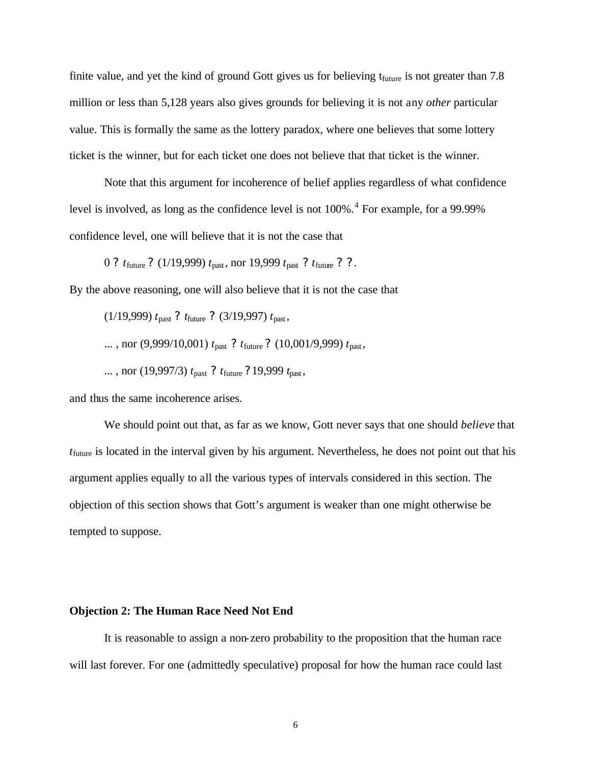finite value, and yet the kind of ground Gott gives us for believing  $t_{future}$  is not greater than 7.8 million or less than 5,128 years also gives grounds for believing it is not any *other* particular value. This is formally the same as the lottery paradox, where one believes that some lottery ticket is the winner, but for each ticket one does not believe that that ticket is the winner.

Note that this argument for incoherence of belief applies regardless of what confidence level is involved, as long as the confidence level is not 100%.<sup>4</sup> For example, for a 99.99% confidence level, one will believe that it is not the case that

0 ? *t*future ? (1/19,999) *t*past , nor 19,999 *t*past ? *t*future ? ?.

By the above reasoning, one will also believe that it is not the case that

(1/19,999) 
$$
t_{\text{past}}
$$
 ?  $t_{\text{future}}$  ? (3/19,997)  $t_{\text{past}}$ ,  
..., nor (9,999/10,001)  $t_{\text{past}}$  ?  $t_{\text{future}}$  ? (10,001/9,999)  $t_{\text{past}}$ ,  
..., nor (19,997/3)  $t_{\text{past}}$  ?  $t_{\text{future}}$  ? 19,999  $t_{\text{past}}$ ,

and thus the same incoherence arises.

We should point out that, as far as we know, Gott never says that one should *believe* that *t*future is located in the interval given by his argument. Nevertheless, he does not point out that his argument applies equally to all the various types of intervals considered in this section. The objection of this section shows that Gott's argument is weaker than one might otherwise be tempted to suppose.

#### **Objection 2: The Human Race Need Not End**

It is reasonable to assign a non-zero probability to the proposition that the human race will last forever. For one (admittedly speculative) proposal for how the human race could last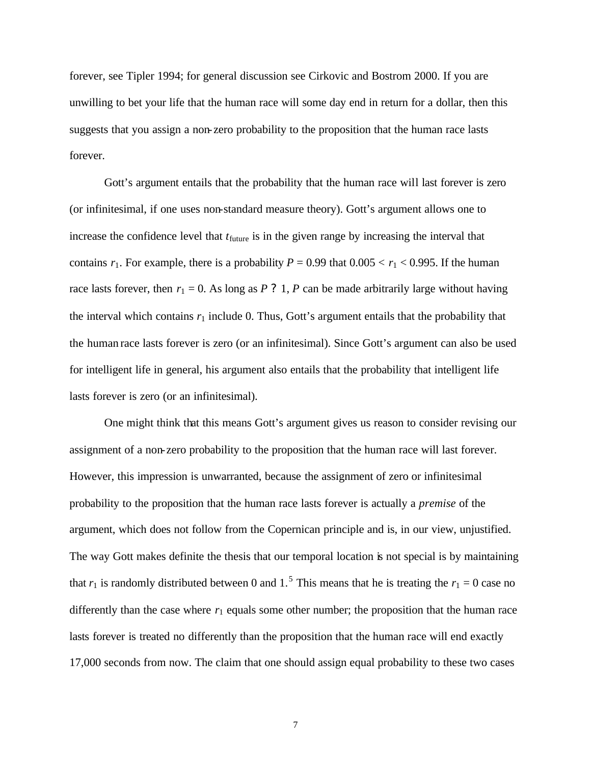forever, see Tipler 1994; for general discussion see Cirkovic and Bostrom 2000. If you are unwilling to bet your life that the human race will some day end in return for a dollar, then this suggests that you assign a non-zero probability to the proposition that the human race lasts forever.

Gott's argument entails that the probability that the human race will last forever is zero (or infinitesimal, if one uses non-standard measure theory). Gott's argument allows one to increase the confidence level that  $t_{future}$  is in the given range by increasing the interval that contains  $r_1$ . For example, there is a probability  $P = 0.99$  that  $0.005 < r_1 < 0.995$ . If the human race lasts forever, then  $r_1 = 0$ . As long as *P* ? 1, *P* can be made arbitrarily large without having the interval which contains  $r_1$  include 0. Thus, Gott's argument entails that the probability that the human race lasts forever is zero (or an infinitesimal). Since Gott's argument can also be used for intelligent life in general, his argument also entails that the probability that intelligent life lasts forever is zero (or an infinitesimal).

One might think that this means Gott's argument gives us reason to consider revising our assignment of a non-zero probability to the proposition that the human race will last forever. However, this impression is unwarranted, because the assignment of zero or infinitesimal probability to the proposition that the human race lasts forever is actually a *premise* of the argument, which does not follow from the Copernican principle and is, in our view, unjustified. The way Gott makes definite the thesis that our temporal location is not special is by maintaining that  $r_1$  is randomly distributed between 0 and 1.<sup>5</sup> This means that he is treating the  $r_1 = 0$  case no differently than the case where  $r_1$  equals some other number; the proposition that the human race lasts forever is treated no differently than the proposition that the human race will end exactly 17,000 seconds from now. The claim that one should assign equal probability to these two cases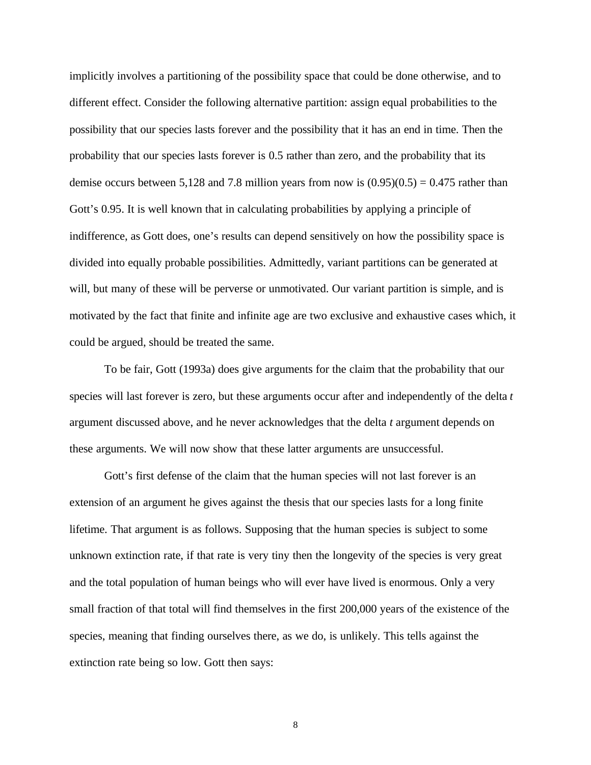implicitly involves a partitioning of the possibility space that could be done otherwise, and to different effect. Consider the following alternative partition: assign equal probabilities to the possibility that our species lasts forever and the possibility that it has an end in time. Then the probability that our species lasts forever is 0.5 rather than zero, and the probability that its demise occurs between 5,128 and 7.8 million years from now is  $(0.95)(0.5) = 0.475$  rather than Gott's 0.95. It is well known that in calculating probabilities by applying a principle of indifference, as Gott does, one's results can depend sensitively on how the possibility space is divided into equally probable possibilities. Admittedly, variant partitions can be generated at will, but many of these will be perverse or unmotivated. Our variant partition is simple, and is motivated by the fact that finite and infinite age are two exclusive and exhaustive cases which, it could be argued, should be treated the same.

To be fair, Gott (1993a) does give arguments for the claim that the probability that our species will last forever is zero, but these arguments occur after and independently of the delta *t*  argument discussed above, and he never acknowledges that the delta *t* argument depends on these arguments. We will now show that these latter arguments are unsuccessful.

Gott's first defense of the claim that the human species will not last forever is an extension of an argument he gives against the thesis that our species lasts for a long finite lifetime. That argument is as follows. Supposing that the human species is subject to some unknown extinction rate, if that rate is very tiny then the longevity of the species is very great and the total population of human beings who will ever have lived is enormous. Only a very small fraction of that total will find themselves in the first 200,000 years of the existence of the species, meaning that finding ourselves there, as we do, is unlikely. This tells against the extinction rate being so low. Gott then says: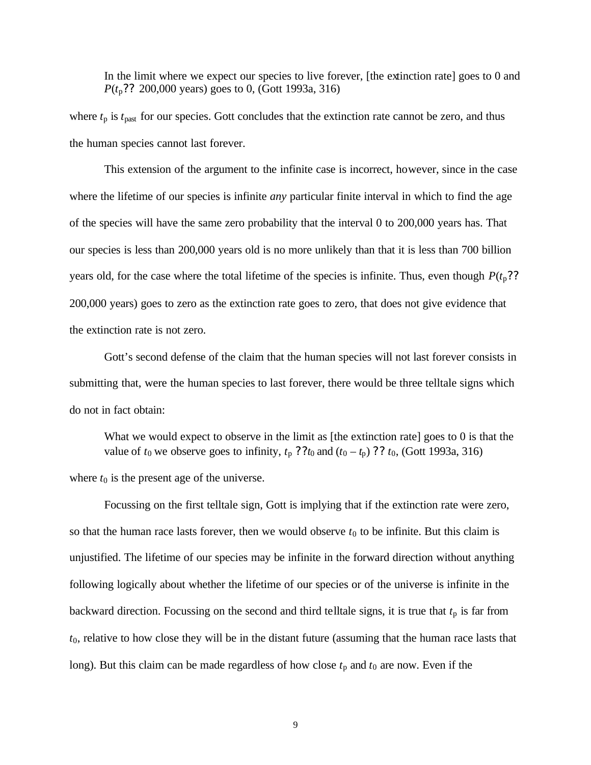In the limit where we expect our species to live forever, [the extinction rate] goes to 0 and *P*(*t*p?? 200,000 years) goes to 0, (Gott 1993a, 316)

where  $t<sub>p</sub>$  is  $t<sub>past</sub>$  for our species. Gott concludes that the extinction rate cannot be zero, and thus the human species cannot last forever.

This extension of the argument to the infinite case is incorrect, however, since in the case where the lifetime of our species is infinite *any* particular finite interval in which to find the age of the species will have the same zero probability that the interval 0 to 200,000 years has. That our species is less than 200,000 years old is no more unlikely than that it is less than 700 billion years old, for the case where the total lifetime of the species is infinite. Thus, even though  $P(t_p$ ?? 200,000 years) goes to zero as the extinction rate goes to zero, that does not give evidence that the extinction rate is not zero.

Gott's second defense of the claim that the human species will not last forever consists in submitting that, were the human species to last forever, there would be three telltale signs which do not in fact obtain:

What we would expect to observe in the limit as [the extinction rate] goes to 0 is that the value of  $t_0$  we observe goes to infinity,  $t_p$  ?? $t_0$  and  $(t_0 - t_p)$  ??  $t_0$ , (Gott 1993a, 316) where  $t_0$  is the present age of the universe.

Focussing on the first telltale sign, Gott is implying that if the extinction rate were zero, so that the human race lasts forever, then we would observe  $t_0$  to be infinite. But this claim is unjustified. The lifetime of our species may be infinite in the forward direction without anything following logically about whether the lifetime of our species or of the universe is infinite in the backward direction. Focussing on the second and third telltale signs, it is true that  $t<sub>p</sub>$  is far from *t*0, relative to how close they will be in the distant future (assuming that the human race lasts that long). But this claim can be made regardless of how close  $t_p$  and  $t_0$  are now. Even if the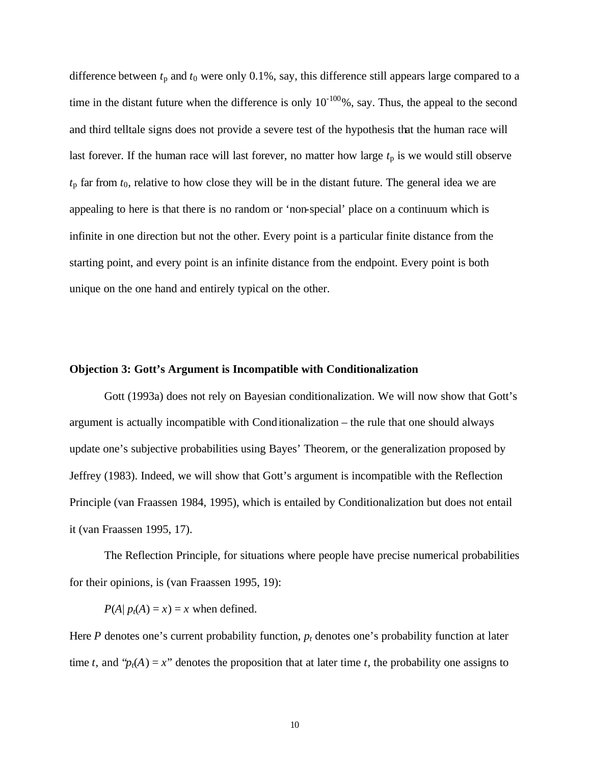difference between  $t<sub>p</sub>$  and  $t<sub>0</sub>$  were only 0.1%, say, this difference still appears large compared to a time in the distant future when the difference is only  $10^{-100}\%$ , say. Thus, the appeal to the second and third telltale signs does not provide a severe test of the hypothesis that the human race will last forever. If the human race will last forever, no matter how large  $t<sub>p</sub>$  is we would still observe  $t<sub>p</sub>$  far from  $t<sub>0</sub>$ , relative to how close they will be in the distant future. The general idea we are appealing to here is that there is no random or 'non-special' place on a continuum which is infinite in one direction but not the other. Every point is a particular finite distance from the starting point, and every point is an infinite distance from the endpoint. Every point is both unique on the one hand and entirely typical on the other.

### **Objection 3: Gott's Argument is Incompatible with Conditionalization**

Gott (1993a) does not rely on Bayesian conditionalization. We will now show that Gott's argument is actually incompatible with Conditionalization – the rule that one should always update one's subjective probabilities using Bayes' Theorem, or the generalization proposed by Jeffrey (1983). Indeed, we will show that Gott's argument is incompatible with the Reflection Principle (van Fraassen 1984, 1995), which is entailed by Conditionalization but does not entail it (van Fraassen 1995, 17).

The Reflection Principle, for situations where people have precise numerical probabilities for their opinions, is (van Fraassen 1995, 19):

 $P(A|p_t(A) = x) = x$  when defined.

Here *P* denotes one's current probability function,  $p_t$  denotes one's probability function at later time *t*, and " $p_t(A) = x$ " denotes the proposition that at later time *t*, the probability one assigns to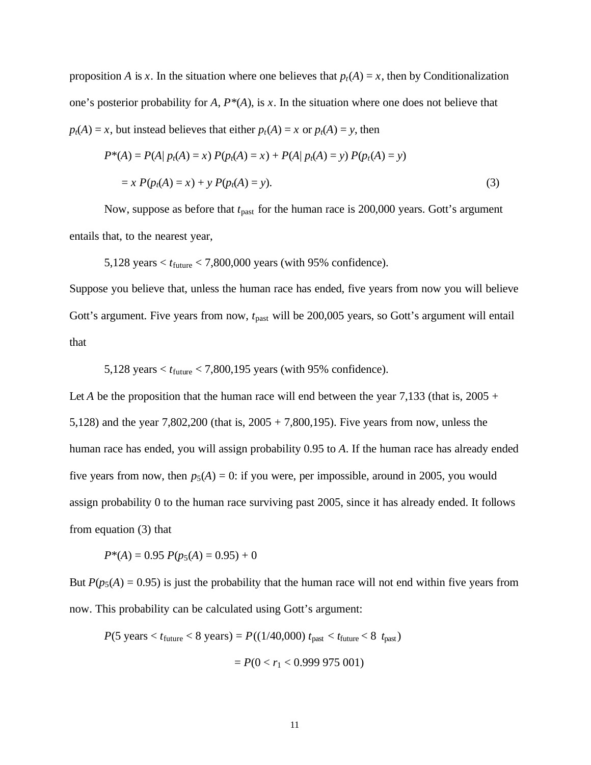proposition *A* is *x*. In the situation where one believes that  $p_t(A) = x$ , then by Conditionalization one's posterior probability for *A*, *P\**(*A*), is *x*. In the situation where one does not believe that  $p_t(A) = x$ , but instead believes that either  $p_t(A) = x$  or  $p_t(A) = y$ , then

$$
P^*(A) = P(A | p_t(A) = x) P(p_t(A) = x) + P(A | p_t(A) = y) P(p_t(A) = y)
$$
  
=  $x P(p_t(A) = x) + y P(p_t(A) = y).$  (3)

Now, suppose as before that  $t_{\text{past}}$  for the human race is 200,000 years. Gott's argument entails that, to the nearest year,

5,128 years  $\lt t_{\text{future}}$   $\lt 7,800,000$  years (with 95% confidence).

Suppose you believe that, unless the human race has ended, five years from now you will believe Gott's argument. Five years from now,  $t_{\text{past}}$  will be 200,005 years, so Gott's argument will entail that

5,128 years < *t*future < 7,800,195 years (with 95% confidence).

Let *A* be the proposition that the human race will end between the year 7,133 (that is,  $2005 +$ 5,128) and the year 7,802,200 (that is, 2005 + 7,800,195). Five years from now, unless the human race has ended, you will assign probability 0.95 to *A*. If the human race has already ended five years from now, then  $p_5(A) = 0$ : if you were, per impossible, around in 2005, you would assign probability 0 to the human race surviving past 2005, since it has already ended. It follows from equation (3) that

 $P^*(A) = 0.95 P(p_5(A) = 0.95) + 0$ 

But  $P(p_5(A) = 0.95)$  is just the probability that the human race will not end within five years from now. This probability can be calculated using Gott's argument:

$$
P(5 \text{ years} < t_{\text{future}} < 8 \text{ years}) = P((1/40,000) \ t_{\text{past}} < t_{\text{future}} < 8 \ t_{\text{past}}) \\
= P(0 < r_1 < 0.999 \ 975 \ 001)
$$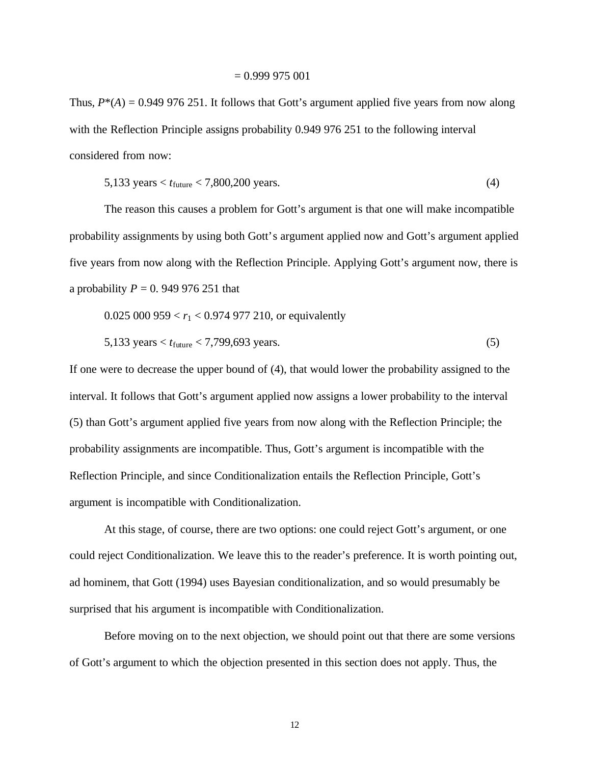Thus,  $P^*(A) = 0.949\,976\,251$ . It follows that Gott's argument applied five years from now along with the Reflection Principle assigns probability 0.949 976 251 to the following interval considered from now:

$$
5,133 \text{ years} < t_{\text{future}} < 7,800,200 \text{ years.} \tag{4}
$$

The reason this causes a problem for Gott's argument is that one will make incompatible probability assignments by using both Gott's argument applied now and Gott's argument applied five years from now along with the Reflection Principle. Applying Gott's argument now, there is a probability *P* = 0. 949 976 251 that

$$
0.025\ 000\ 959 < r_1 < 0.974\ 977\ 210, \, \text{or equivalently}
$$

$$
5,133 \text{ years} < t_{\text{future}} < 7,799,693 \text{ years.} \tag{5}
$$

If one were to decrease the upper bound of (4), that would lower the probability assigned to the interval. It follows that Gott's argument applied now assigns a lower probability to the interval (5) than Gott's argument applied five years from now along with the Reflection Principle; the probability assignments are incompatible. Thus, Gott's argument is incompatible with the Reflection Principle, and since Conditionalization entails the Reflection Principle, Gott's argument is incompatible with Conditionalization.

At this stage, of course, there are two options: one could reject Gott's argument, or one could reject Conditionalization. We leave this to the reader's preference. It is worth pointing out, ad hominem, that Gott (1994) uses Bayesian conditionalization, and so would presumably be surprised that his argument is incompatible with Conditionalization.

Before moving on to the next objection, we should point out that there are some versions of Gott's argument to which the objection presented in this section does not apply. Thus, the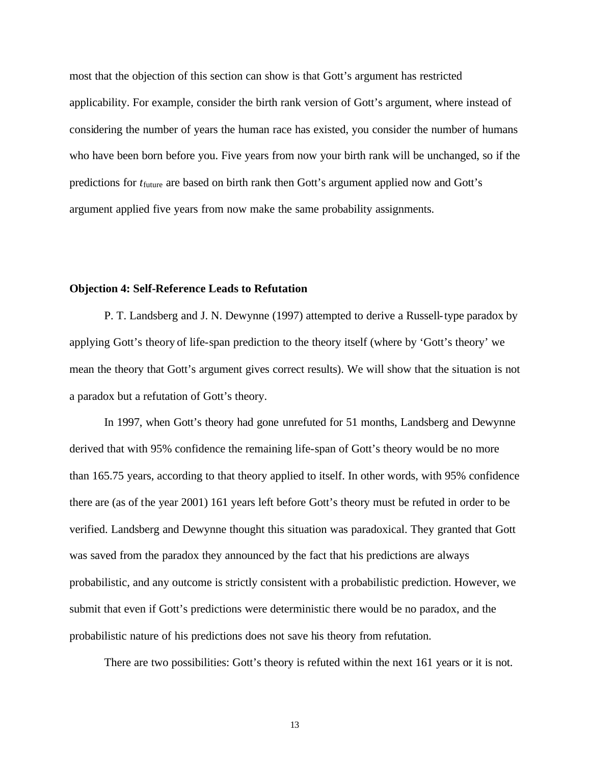most that the objection of this section can show is that Gott's argument has restricted applicability. For example, consider the birth rank version of Gott's argument, where instead of considering the number of years the human race has existed, you consider the number of humans who have been born before you. Five years from now your birth rank will be unchanged, so if the predictions for *t*future are based on birth rank then Gott's argument applied now and Gott's argument applied five years from now make the same probability assignments.

### **Objection 4: Self-Reference Leads to Refutation**

P. T. Landsberg and J. N. Dewynne (1997) attempted to derive a Russell-type paradox by applying Gott's theory of life-span prediction to the theory itself (where by 'Gott's theory' we mean the theory that Gott's argument gives correct results). We will show that the situation is not a paradox but a refutation of Gott's theory.

In 1997, when Gott's theory had gone unrefuted for 51 months, Landsberg and Dewynne derived that with 95% confidence the remaining life-span of Gott's theory would be no more than 165.75 years, according to that theory applied to itself. In other words, with 95% confidence there are (as of the year 2001) 161 years left before Gott's theory must be refuted in order to be verified. Landsberg and Dewynne thought this situation was paradoxical. They granted that Gott was saved from the paradox they announced by the fact that his predictions are always probabilistic, and any outcome is strictly consistent with a probabilistic prediction. However, we submit that even if Gott's predictions were deterministic there would be no paradox, and the probabilistic nature of his predictions does not save his theory from refutation.

There are two possibilities: Gott's theory is refuted within the next 161 years or it is not.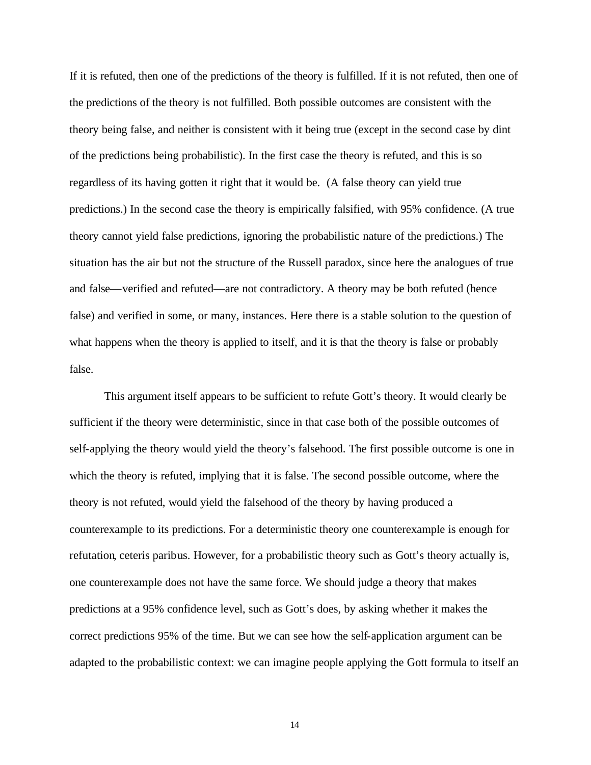If it is refuted, then one of the predictions of the theory is fulfilled. If it is not refuted, then one of the predictions of the theory is not fulfilled. Both possible outcomes are consistent with the theory being false, and neither is consistent with it being true (except in the second case by dint of the predictions being probabilistic). In the first case the theory is refuted, and this is so regardless of its having gotten it right that it would be. (A false theory can yield true predictions.) In the second case the theory is empirically falsified, with 95% confidence. (A true theory cannot yield false predictions, ignoring the probabilistic nature of the predictions.) The situation has the air but not the structure of the Russell paradox, since here the analogues of true and false—verified and refuted—are not contradictory. A theory may be both refuted (hence false) and verified in some, or many, instances. Here there is a stable solution to the question of what happens when the theory is applied to itself, and it is that the theory is false or probably false.

This argument itself appears to be sufficient to refute Gott's theory. It would clearly be sufficient if the theory were deterministic, since in that case both of the possible outcomes of self-applying the theory would yield the theory's falsehood. The first possible outcome is one in which the theory is refuted, implying that it is false. The second possible outcome, where the theory is not refuted, would yield the falsehood of the theory by having produced a counterexample to its predictions. For a deterministic theory one counterexample is enough for refutation, ceteris paribus. However, for a probabilistic theory such as Gott's theory actually is, one counterexample does not have the same force. We should judge a theory that makes predictions at a 95% confidence level, such as Gott's does, by asking whether it makes the correct predictions 95% of the time. But we can see how the self-application argument can be adapted to the probabilistic context: we can imagine people applying the Gott formula to itself an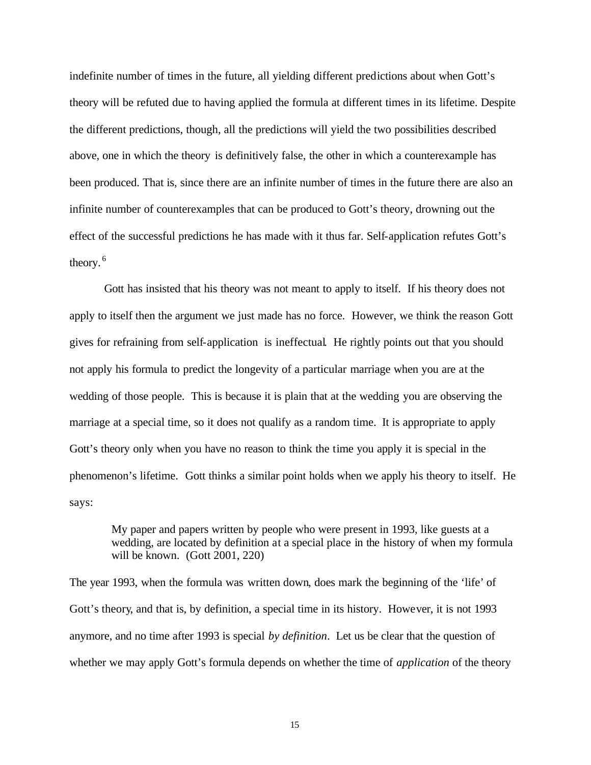indefinite number of times in the future, all yielding different predictions about when Gott's theory will be refuted due to having applied the formula at different times in its lifetime. Despite the different predictions, though, all the predictions will yield the two possibilities described above, one in which the theory is definitively false, the other in which a counterexample has been produced. That is, since there are an infinite number of times in the future there are also an infinite number of counterexamples that can be produced to Gott's theory, drowning out the effect of the successful predictions he has made with it thus far. Self-application refutes Gott's theory.<sup>6</sup>

Gott has insisted that his theory was not meant to apply to itself. If his theory does not apply to itself then the argument we just made has no force. However, we think the reason Gott gives for refraining from self-application is ineffectual. He rightly points out that you should not apply his formula to predict the longevity of a particular marriage when you are at the wedding of those people. This is because it is plain that at the wedding you are observing the marriage at a special time, so it does not qualify as a random time. It is appropriate to apply Gott's theory only when you have no reason to think the time you apply it is special in the phenomenon's lifetime. Gott thinks a similar point holds when we apply his theory to itself. He says:

My paper and papers written by people who were present in 1993, like guests at a wedding, are located by definition at a special place in the history of when my formula will be known. (Gott 2001, 220)

The year 1993, when the formula was written down, does mark the beginning of the 'life' of Gott's theory, and that is, by definition, a special time in its history. However, it is not 1993 anymore, and no time after 1993 is special *by definition*. Let us be clear that the question of whether we may apply Gott's formula depends on whether the time of *application* of the theory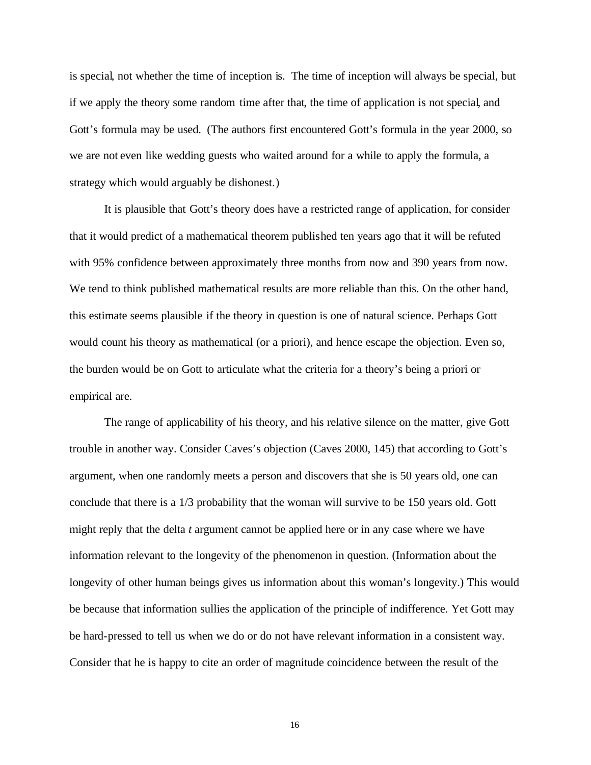is special, not whether the time of inception is. The time of inception will always be special, but if we apply the theory some random time after that, the time of application is not special, and Gott's formula may be used. (The authors first encountered Gott's formula in the year 2000, so we are not even like wedding guests who waited around for a while to apply the formula, a strategy which would arguably be dishonest.)

It is plausible that Gott's theory does have a restricted range of application, for consider that it would predict of a mathematical theorem published ten years ago that it will be refuted with 95% confidence between approximately three months from now and 390 years from now. We tend to think published mathematical results are more reliable than this. On the other hand, this estimate seems plausible if the theory in question is one of natural science. Perhaps Gott would count his theory as mathematical (or a priori), and hence escape the objection. Even so, the burden would be on Gott to articulate what the criteria for a theory's being a priori or empirical are.

The range of applicability of his theory, and his relative silence on the matter, give Gott trouble in another way. Consider Caves's objection (Caves 2000, 145) that according to Gott's argument, when one randomly meets a person and discovers that she is 50 years old, one can conclude that there is a 1/3 probability that the woman will survive to be 150 years old. Gott might reply that the delta *t* argument cannot be applied here or in any case where we have information relevant to the longevity of the phenomenon in question. (Information about the longevity of other human beings gives us information about this woman's longevity.) This would be because that information sullies the application of the principle of indifference. Yet Gott may be hard-pressed to tell us when we do or do not have relevant information in a consistent way. Consider that he is happy to cite an order of magnitude coincidence between the result of the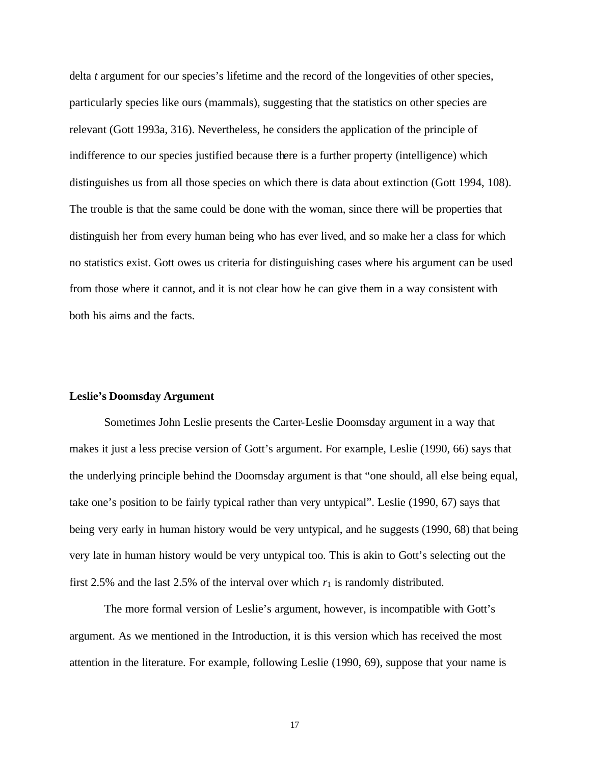delta *t* argument for our species's lifetime and the record of the longevities of other species, particularly species like ours (mammals), suggesting that the statistics on other species are relevant (Gott 1993a, 316). Nevertheless, he considers the application of the principle of indifference to our species justified because there is a further property (intelligence) which distinguishes us from all those species on which there is data about extinction (Gott 1994, 108). The trouble is that the same could be done with the woman, since there will be properties that distinguish her from every human being who has ever lived, and so make her a class for which no statistics exist. Gott owes us criteria for distinguishing cases where his argument can be used from those where it cannot, and it is not clear how he can give them in a way consistent with both his aims and the facts.

### **Leslie's Doomsday Argument**

Sometimes John Leslie presents the Carter-Leslie Doomsday argument in a way that makes it just a less precise version of Gott's argument. For example, Leslie (1990, 66) says that the underlying principle behind the Doomsday argument is that "one should, all else being equal, take one's position to be fairly typical rather than very untypical". Leslie (1990, 67) says that being very early in human history would be very untypical, and he suggests (1990, 68) that being very late in human history would be very untypical too. This is akin to Gott's selecting out the first 2.5% and the last 2.5% of the interval over which  $r_1$  is randomly distributed.

The more formal version of Leslie's argument, however, is incompatible with Gott's argument. As we mentioned in the Introduction, it is this version which has received the most attention in the literature. For example, following Leslie (1990, 69), suppose that your name is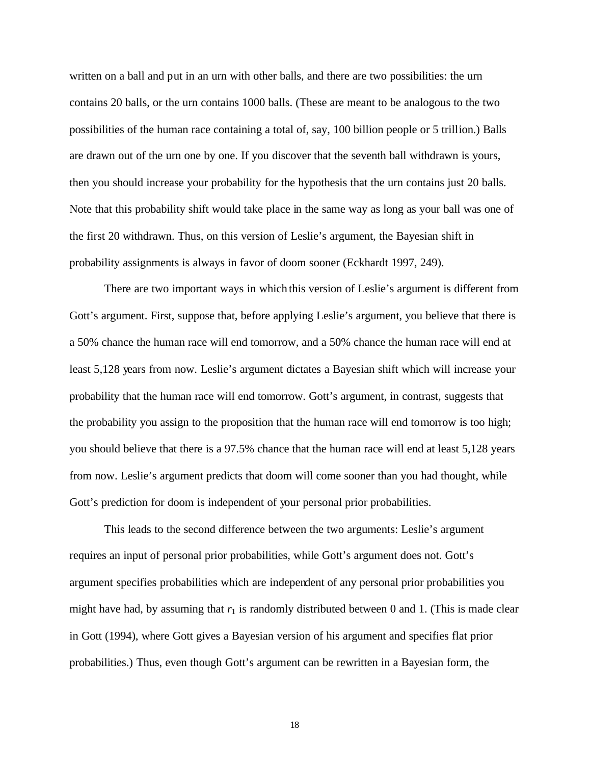written on a ball and put in an urn with other balls, and there are two possibilities: the urn contains 20 balls, or the urn contains 1000 balls. (These are meant to be analogous to the two possibilities of the human race containing a total of, say, 100 billion people or 5 trillion.) Balls are drawn out of the urn one by one. If you discover that the seventh ball withdrawn is yours, then you should increase your probability for the hypothesis that the urn contains just 20 balls. Note that this probability shift would take place in the same way as long as your ball was one of the first 20 withdrawn. Thus, on this version of Leslie's argument, the Bayesian shift in probability assignments is always in favor of doom sooner (Eckhardt 1997, 249).

There are two important ways in which this version of Leslie's argument is different from Gott's argument. First, suppose that, before applying Leslie's argument, you believe that there is a 50% chance the human race will end tomorrow, and a 50% chance the human race will end at least 5,128 years from now. Leslie's argument dictates a Bayesian shift which will increase your probability that the human race will end tomorrow. Gott's argument, in contrast, suggests that the probability you assign to the proposition that the human race will end tomorrow is too high; you should believe that there is a 97.5% chance that the human race will end at least 5,128 years from now. Leslie's argument predicts that doom will come sooner than you had thought, while Gott's prediction for doom is independent of your personal prior probabilities.

This leads to the second difference between the two arguments: Leslie's argument requires an input of personal prior probabilities, while Gott's argument does not. Gott's argument specifies probabilities which are independent of any personal prior probabilities you might have had, by assuming that  $r_1$  is randomly distributed between 0 and 1. (This is made clear in Gott (1994), where Gott gives a Bayesian version of his argument and specifies flat prior probabilities.) Thus, even though Gott's argument can be rewritten in a Bayesian form, the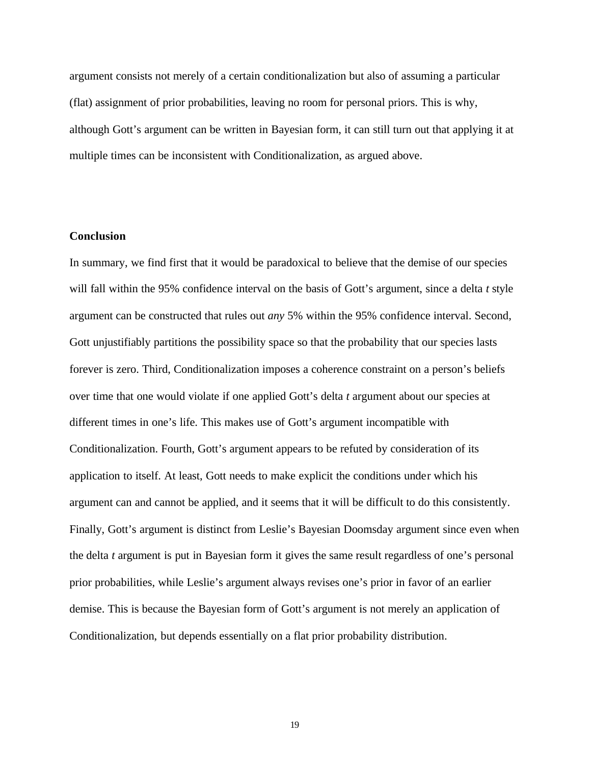argument consists not merely of a certain conditionalization but also of assuming a particular (flat) assignment of prior probabilities, leaving no room for personal priors. This is why, although Gott's argument can be written in Bayesian form, it can still turn out that applying it at multiple times can be inconsistent with Conditionalization, as argued above.

## **Conclusion**

In summary, we find first that it would be paradoxical to believe that the demise of our species will fall within the 95% confidence interval on the basis of Gott's argument, since a delta *t* style argument can be constructed that rules out *any* 5% within the 95% confidence interval. Second, Gott unjustifiably partitions the possibility space so that the probability that our species lasts forever is zero. Third, Conditionalization imposes a coherence constraint on a person's beliefs over time that one would violate if one applied Gott's delta *t* argument about our species at different times in one's life. This makes use of Gott's argument incompatible with Conditionalization. Fourth, Gott's argument appears to be refuted by consideration of its application to itself. At least, Gott needs to make explicit the conditions under which his argument can and cannot be applied, and it seems that it will be difficult to do this consistently. Finally, Gott's argument is distinct from Leslie's Bayesian Doomsday argument since even when the delta *t* argument is put in Bayesian form it gives the same result regardless of one's personal prior probabilities, while Leslie's argument always revises one's prior in favor of an earlier demise. This is because the Bayesian form of Gott's argument is not merely an application of Conditionalization, but depends essentially on a flat prior probability distribution.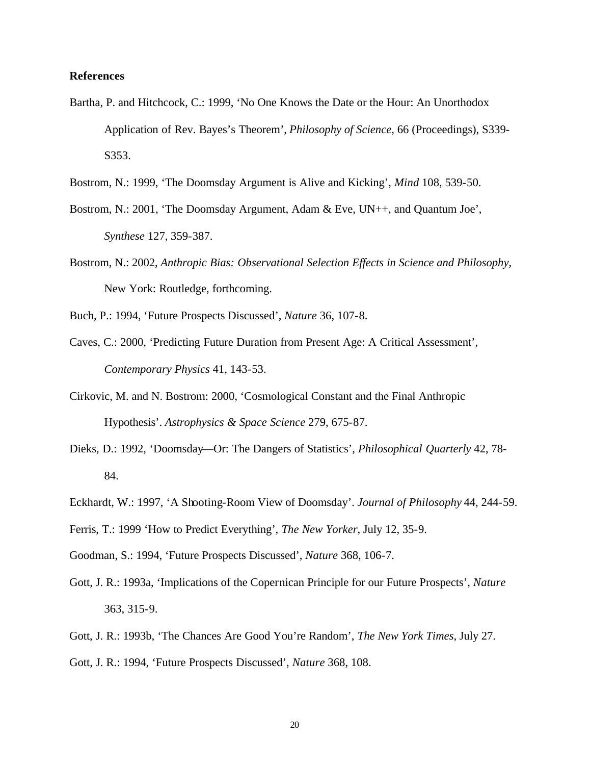### **References**

- Bartha, P. and Hitchcock, C.: 1999, 'No One Knows the Date or the Hour: An Unorthodox Application of Rev. Bayes's Theorem', *Philosophy of Science*, 66 (Proceedings), S339- S<sub>353</sub>.
- Bostrom, N.: 1999, 'The Doomsday Argument is Alive and Kicking', *Mind* 108, 539-50.
- Bostrom, N.: 2001, 'The Doomsday Argument, Adam & Eve, UN++, and Quantum Joe', *Synthese* 127, 359-387.
- Bostrom, N.: 2002, *Anthropic Bias: Observational Selection Effects in Science and Philosophy*, New York: Routledge, forthcoming.

Buch, P.: 1994, 'Future Prospects Discussed', *Nature* 36, 107-8.

- Caves, C.: 2000, 'Predicting Future Duration from Present Age: A Critical Assessment', *Contemporary Physics* 41, 143-53.
- Cirkovic, M. and N. Bostrom: 2000, 'Cosmological Constant and the Final Anthropic Hypothesis'. *Astrophysics & Space Science* 279, 675-87.
- Dieks, D.: 1992, 'Doomsday—Or: The Dangers of Statistics', *Philosophical Quarterly* 42, 78- 84.
- Eckhardt, W.: 1997, 'A Shooting-Room View of Doomsday'. *Journal of Philosophy* 44, 244-59.
- Ferris, T.: 1999 'How to Predict Everything', *The New Yorker*, July 12, 35-9.
- Goodman, S.: 1994, 'Future Prospects Discussed', *Nature* 368, 106-7.
- Gott, J. R.: 1993a, 'Implications of the Copernican Principle for our Future Prospects', *Nature* 363, 315-9.
- Gott, J. R.: 1993b, 'The Chances Are Good You're Random', *The New York Times*, July 27.
- Gott, J. R.: 1994, 'Future Prospects Discussed', *Nature* 368, 108.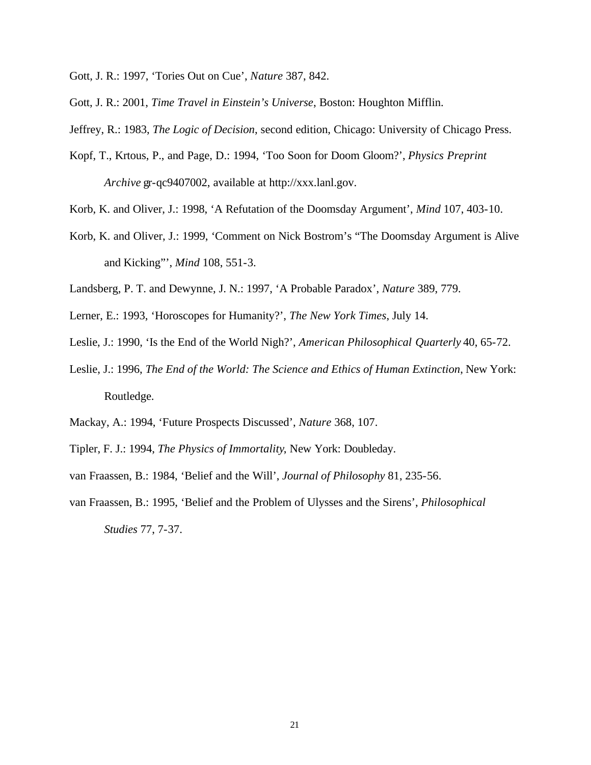- Gott, J. R.: 1997, 'Tories Out on Cue', *Nature* 387, 842.
- Gott, J. R.: 2001, *Time Travel in Einstein's Universe*, Boston: Houghton Mifflin.
- Jeffrey, R.: 1983, *The Logic of Decision*, second edition, Chicago: University of Chicago Press.
- Kopf, T., Krtous, P., and Page, D.: 1994, 'Too Soon for Doom Gloom?', *Physics Preprint Archive* gr-qc9407002, available at http://xxx.lanl.gov.
- Korb, K. and Oliver, J.: 1998, 'A Refutation of the Doomsday Argument', *Mind* 107, 403-10.
- Korb, K. and Oliver, J.: 1999, 'Comment on Nick Bostrom's "The Doomsday Argument is Alive and Kicking"', *Mind* 108, 551-3.
- Landsberg, P. T. and Dewynne, J. N.: 1997, 'A Probable Paradox', *Nature* 389, 779.
- Lerner, E.: 1993, 'Horoscopes for Humanity?', *The New York Times*, July 14.
- Leslie, J.: 1990, 'Is the End of the World Nigh?', *American Philosophical Quarterly* 40, 65-72.
- Leslie, J.: 1996, *The End of the World: The Science and Ethics of Human Extinction*, New York: Routledge.
- Mackay, A.: 1994, 'Future Prospects Discussed', *Nature* 368, 107.
- Tipler, F. J.: 1994, *The Physics of Immortality*, New York: Doubleday.
- van Fraassen, B.: 1984, 'Belief and the Will', *Journal of Philosophy* 81, 235-56.
- van Fraassen, B.: 1995, 'Belief and the Problem of Ulysses and the Sirens', *Philosophical Studies* 77, 7-37.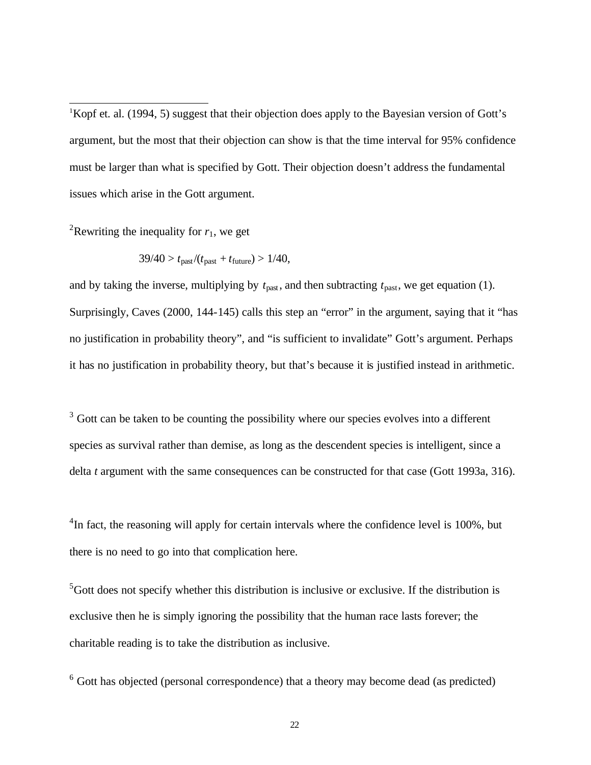<sup>1</sup>Kopf et. al. (1994, 5) suggest that their objection does apply to the Bayesian version of Gott's argument, but the most that their objection can show is that the time interval for 95% confidence must be larger than what is specified by Gott. Their objection doesn't address the fundamental issues which arise in the Gott argument.

<sup>2</sup>Rewriting the inequality for  $r_1$ , we get

l

$$
39/40 > t_{\text{past}}/(t_{\text{past}} + t_{\text{future}}) > 1/40,
$$

and by taking the inverse, multiplying by  $t_{\text{past}}$ , and then subtracting  $t_{\text{past}}$ , we get equation (1). Surprisingly, Caves (2000, 144-145) calls this step an "error" in the argument, saying that it "has no justification in probability theory", and "is sufficient to invalidate" Gott's argument. Perhaps it has no justification in probability theory, but that's because it is justified instead in arithmetic.

 $3$  Gott can be taken to be counting the possibility where our species evolves into a different species as survival rather than demise, as long as the descendent species is intelligent, since a delta *t* argument with the same consequences can be constructed for that case (Gott 1993a, 316).

 ${}^{4}$ In fact, the reasoning will apply for certain intervals where the confidence level is 100%, but there is no need to go into that complication here.

 $5$ Gott does not specify whether this distribution is inclusive or exclusive. If the distribution is exclusive then he is simply ignoring the possibility that the human race lasts forever; the charitable reading is to take the distribution as inclusive.

 $6$  Gott has objected (personal correspondence) that a theory may become dead (as predicted)